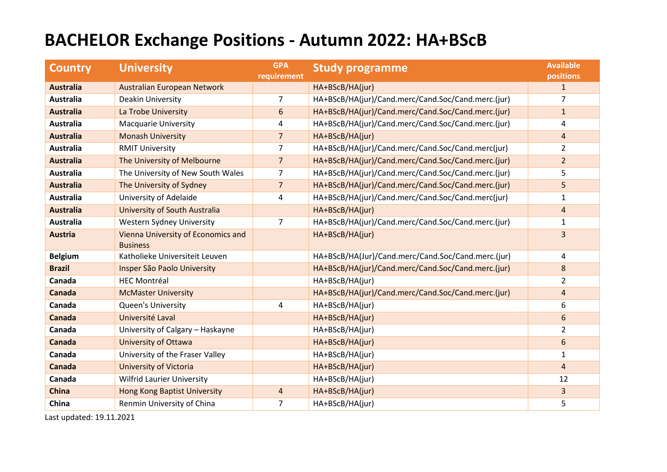## **BACHELOR Exchange Positions - Autumn 2022: HA+BScB**

| <b>Country</b>   | <b>University</b>                                     | <b>GPA</b><br><b>requirement</b> | <b>Study programme</b>                             | <b>Available</b><br>positions |
|------------------|-------------------------------------------------------|----------------------------------|----------------------------------------------------|-------------------------------|
| <b>Australia</b> | Australian European Network                           |                                  | HA+BScB/HA(jur)                                    | $\mathbf{1}$                  |
| Australia        | Deakin University                                     | 7                                | HA+BScB/HA(jur)/Cand.merc/Cand.Soc/Cand.merc.(jur) | $\overline{7}$                |
| <b>Australia</b> | La Trobe University                                   | 6                                | HA+BScB/HA(jur)/Cand.merc/Cand.Soc/Cand.merc.(jur) | $\mathbf{1}$                  |
| Australia        | <b>Macquarie University</b>                           | 4                                | HA+BScB/HA(jur)/Cand.merc/Cand.Soc/Cand.merc.(jur) | 4                             |
| <b>Australia</b> | <b>Monash University</b>                              | $\overline{7}$                   | HA+BScB/HA(jur)                                    | $\overline{4}$                |
| <b>Australia</b> | <b>RMIT University</b>                                | 7                                | HA+BScB/HA(jur)/Cand.merc/Cand.Soc/Cand.merc(jur)  | $\overline{2}$                |
| <b>Australia</b> | The University of Melbourne                           | $\overline{7}$                   | HA+BScB/HA(jur)/Cand.merc/Cand.Soc/Cand.merc.(jur) | $\overline{2}$                |
| <b>Australia</b> | The University of New South Wales                     | $\overline{7}$                   | HA+BScB/HA(jur)/Cand.merc/Cand.Soc/Cand.merc.(jur) | 5                             |
| <b>Australia</b> | The University of Sydney                              | $\overline{7}$                   | HA+BScB/HA(jur)/Cand.merc/Cand.Soc/Cand.merc.(jur) | 5                             |
| Australia        | University of Adelaide                                | 4                                | HA+BScB/HA(jur)/Cand.merc/Cand.Soc/Cand.merc(jur)  | $\mathbf{1}$                  |
| <b>Australia</b> | University of South Australia                         |                                  | HA+BScB/HA(jur)                                    | $\overline{a}$                |
| <b>Australia</b> | Western Sydney University                             | $\overline{7}$                   | HA+BScB/HA(jur)/Cand.merc/Cand.Soc/Cand.merc.(jur) | 1                             |
| <b>Austria</b>   | Vienna University of Economics and<br><b>Business</b> |                                  | HA+BScB/HA(jur)                                    | $\overline{3}$                |
| <b>Belgium</b>   | Katholieke Universiteit Leuven                        |                                  | HA+BScB/HA(Jur)/Cand.merc/Cand.Soc/Cand.merc.(jur) | 4                             |
| <b>Brazil</b>    | Insper São Paolo University                           |                                  | HA+BScB/HA(jur)/Cand.merc/Cand.Soc/Cand.merc.(jur) | 8                             |
| Canada           | <b>HEC Montréal</b>                                   |                                  | HA+BScB/HA(jur)                                    | $\overline{2}$                |
| Canada           | <b>McMaster University</b>                            |                                  | HA+BScB/HA(jur)/Cand.merc/Cand.Soc/Cand.merc.(jur) | $\overline{4}$                |
| Canada           | <b>Queen's University</b>                             | 4                                | HA+BScB/HA(jur)                                    | 6                             |
| <b>Canada</b>    | Université Laval                                      |                                  | HA+BScB/HA(jur)                                    | 6                             |
| Canada           | University of Calgary - Haskayne                      |                                  | HA+BScB/HA(jur)                                    | $\overline{2}$                |
| Canada           | <b>University of Ottawa</b>                           |                                  | HA+BScB/HA(jur)                                    | $6\,$                         |
| Canada           | University of the Fraser Valley                       |                                  | HA+BScB/HA(jur)                                    | $\mathbf{1}$                  |
| Canada           | <b>University of Victoria</b>                         |                                  | HA+BScB/HA(jur)                                    | $\overline{4}$                |
| Canada           | <b>Wilfrid Laurier University</b>                     |                                  | HA+BScB/HA(jur)                                    | 12                            |
| <b>China</b>     | <b>Hong Kong Baptist University</b>                   | $\overline{4}$                   | HA+BScB/HA(jur)                                    | $\overline{3}$                |
| China            | Renmin University of China                            | $\overline{7}$                   | HA+BScB/HA(jur)                                    | 5                             |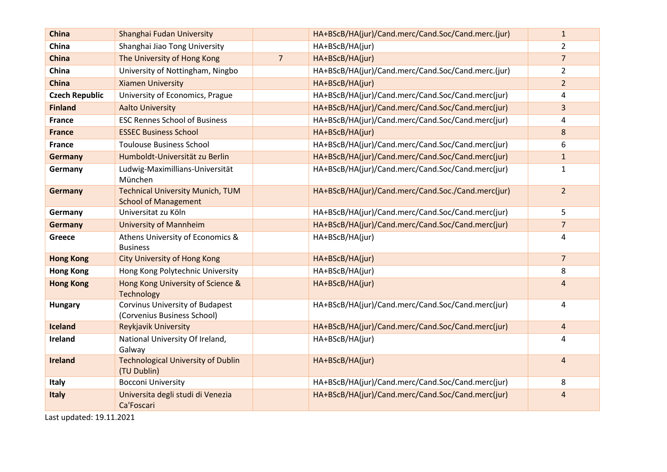| <b>China</b>          | Shanghai Fudan University                                              |                | HA+BScB/HA(jur)/Cand.merc/Cand.Soc/Cand.merc.(jur) | $\mathbf{1}$   |
|-----------------------|------------------------------------------------------------------------|----------------|----------------------------------------------------|----------------|
| China                 | Shanghai Jiao Tong University                                          |                | HA+BScB/HA(jur)                                    | $\overline{2}$ |
| <b>China</b>          | The University of Hong Kong                                            | $\overline{7}$ | HA+BScB/HA(jur)                                    | $\overline{7}$ |
| China                 | University of Nottingham, Ningbo                                       |                | HA+BScB/HA(jur)/Cand.merc/Cand.Soc/Cand.merc.(jur) | $\overline{2}$ |
| <b>China</b>          | <b>Xiamen University</b>                                               |                | HA+BScB/HA(jur)                                    | $\overline{2}$ |
| <b>Czech Republic</b> | University of Economics, Prague                                        |                | HA+BScB/HA(jur)/Cand.merc/Cand.Soc/Cand.merc(jur)  | 4              |
| <b>Finland</b>        | <b>Aalto University</b>                                                |                | HA+BScB/HA(jur)/Cand.merc/Cand.Soc/Cand.merc(jur)  | 3              |
| <b>France</b>         | <b>ESC Rennes School of Business</b>                                   |                | HA+BScB/HA(jur)/Cand.merc/Cand.Soc/Cand.merc(jur)  | 4              |
| <b>France</b>         | <b>ESSEC Business School</b>                                           |                | HA+BScB/HA(jur)                                    | 8              |
| <b>France</b>         | <b>Toulouse Business School</b>                                        |                | HA+BScB/HA(jur)/Cand.merc/Cand.Soc/Cand.merc(jur)  | 6              |
| <b>Germany</b>        | Humboldt-Universität zu Berlin                                         |                | HA+BScB/HA(jur)/Cand.merc/Cand.Soc/Cand.merc(jur)  | $\mathbf{1}$   |
| Germany               | Ludwig-Maximillians-Universität<br>München                             |                | HA+BScB/HA(jur)/Cand.merc/Cand.Soc/Cand.merc(jur)  | $\mathbf{1}$   |
| <b>Germany</b>        | <b>Technical University Munich, TUM</b><br><b>School of Management</b> |                | HA+BScB/HA(jur)/Cand.merc/Cand.Soc./Cand.merc(jur) | 2 <sup>1</sup> |
| Germany               | Universitat zu Köln                                                    |                | HA+BScB/HA(jur)/Cand.merc/Cand.Soc/Cand.merc(jur)  | 5              |
| <b>Germany</b>        | <b>University of Mannheim</b>                                          |                | HA+BScB/HA(jur)/Cand.merc/Cand.Soc/Cand.merc(jur)  | $\overline{7}$ |
| Greece                | Athens University of Economics &<br><b>Business</b>                    |                | HA+BScB/HA(jur)                                    | 4              |
| <b>Hong Kong</b>      | <b>City University of Hong Kong</b>                                    |                | HA+BScB/HA(jur)                                    | $\overline{7}$ |
| <b>Hong Kong</b>      | Hong Kong Polytechnic University                                       |                | HA+BScB/HA(jur)                                    | 8              |
| <b>Hong Kong</b>      | Hong Kong University of Science &<br>Technology                        |                | HA+BScB/HA(jur)                                    | $\overline{4}$ |
| <b>Hungary</b>        | <b>Corvinus University of Budapest</b><br>(Corvenius Business School)  |                | HA+BScB/HA(jur)/Cand.merc/Cand.Soc/Cand.merc(jur)  | 4              |
| <b>Iceland</b>        | Reykjavik University                                                   |                | HA+BScB/HA(jur)/Cand.merc/Cand.Soc/Cand.merc(jur)  | $\overline{4}$ |
| Ireland               | National University Of Ireland,<br>Galway                              |                | HA+BScB/HA(jur)                                    | 4              |
| <b>Ireland</b>        | <b>Technological University of Dublin</b><br>(TU Dublin)               |                | HA+BScB/HA(jur)                                    | 4              |
| Italy                 | <b>Bocconi University</b>                                              |                | HA+BScB/HA(jur)/Cand.merc/Cand.Soc/Cand.merc(jur)  | 8              |
| <b>Italy</b>          | Universita degli studi di Venezia<br>Ca'Foscari                        |                | HA+BScB/HA(jur)/Cand.merc/Cand.Soc/Cand.merc(jur)  | 4              |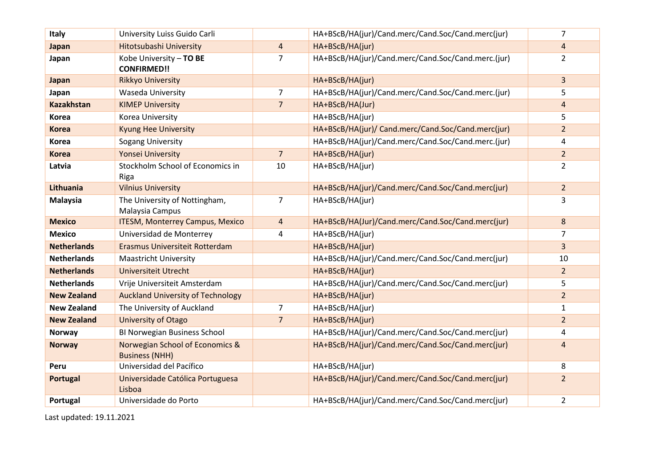| Italy              | University Luiss Guido Carli                             |                | HA+BScB/HA(jur)/Cand.merc/Cand.Soc/Cand.merc(jur)  | $\overline{7}$ |
|--------------------|----------------------------------------------------------|----------------|----------------------------------------------------|----------------|
| Japan              | Hitotsubashi University                                  | $\overline{4}$ | HA+BScB/HA(jur)                                    | $\overline{4}$ |
| Japan              | Kobe University - TO BE<br><b>CONFIRMED!!</b>            | $\overline{7}$ | HA+BScB/HA(jur)/Cand.merc/Cand.Soc/Cand.merc.(jur) | $\overline{2}$ |
| Japan              | <b>Rikkyo University</b>                                 |                | HA+BScB/HA(jur)                                    | 3              |
| Japan              | <b>Waseda University</b>                                 | $\overline{7}$ | HA+BScB/HA(jur)/Cand.merc/Cand.Soc/Cand.merc.(jur) | 5              |
| <b>Kazakhstan</b>  | <b>KIMEP University</b>                                  | $\overline{7}$ | HA+BScB/HA(Jur)                                    | 4              |
| Korea              | Korea University                                         |                | HA+BScB/HA(jur)                                    | 5              |
| <b>Korea</b>       | <b>Kyung Hee University</b>                              |                | HA+BScB/HA(jur)/ Cand.merc/Cand.Soc/Cand.merc(jur) | $\overline{2}$ |
| <b>Korea</b>       | <b>Sogang University</b>                                 |                | HA+BScB/HA(jur)/Cand.merc/Cand.Soc/Cand.merc.(jur) | 4              |
| <b>Korea</b>       | <b>Yonsei University</b>                                 | $\overline{7}$ | HA+BScB/HA(jur)                                    | $\overline{2}$ |
| Latvia             | Stockholm School of Economics in<br>Riga                 | 10             | HA+BScB/HA(jur)                                    | $\overline{2}$ |
| Lithuania          | <b>Vilnius University</b>                                |                | HA+BScB/HA(jur)/Cand.merc/Cand.Soc/Cand.merc(jur)  | $\overline{2}$ |
| <b>Malaysia</b>    | The University of Nottingham,<br>Malaysia Campus         | $\overline{7}$ | HA+BScB/HA(jur)                                    | 3              |
| <b>Mexico</b>      | <b>ITESM, Monterrey Campus, Mexico</b>                   | 4              | HA+BScB/HA(Jur)/Cand.merc/Cand.Soc/Cand.merc(jur)  | 8              |
| <b>Mexico</b>      | Universidad de Monterrey                                 | 4              | HA+BScB/HA(jur)                                    | 7              |
| <b>Netherlands</b> | Erasmus Universiteit Rotterdam                           |                | HA+BScB/HA(jur)                                    | 3              |
| <b>Netherlands</b> | <b>Maastricht University</b>                             |                | HA+BScB/HA(jur)/Cand.merc/Cand.Soc/Cand.merc(jur)  | 10             |
| <b>Netherlands</b> | <b>Universiteit Utrecht</b>                              |                | HA+BScB/HA(jur)                                    | $\overline{2}$ |
| <b>Netherlands</b> | Vrije Universiteit Amsterdam                             |                | HA+BScB/HA(jur)/Cand.merc/Cand.Soc/Cand.merc(jur)  | 5              |
| <b>New Zealand</b> | <b>Auckland University of Technology</b>                 |                | HA+BScB/HA(jur)                                    | $\overline{2}$ |
| <b>New Zealand</b> | The University of Auckland                               | 7              | HA+BScB/HA(jur)                                    | $\mathbf{1}$   |
| <b>New Zealand</b> | University of Otago                                      | $\overline{7}$ | HA+BScB/HA(jur)                                    | $\overline{2}$ |
| Norway             | BI Norwegian Business School                             |                | HA+BScB/HA(jur)/Cand.merc/Cand.Soc/Cand.merc(jur)  | 4              |
| <b>Norway</b>      | Norwegian School of Economics &<br><b>Business (NHH)</b> |                | HA+BScB/HA(jur)/Cand.merc/Cand.Soc/Cand.merc(jur)  | $\overline{4}$ |
| Peru               | Universidad del Pacífico                                 |                | HA+BScB/HA(jur)                                    | 8              |
| <b>Portugal</b>    | Universidade Católica Portuguesa<br>Lisboa               |                | HA+BScB/HA(jur)/Cand.merc/Cand.Soc/Cand.merc(jur)  | $\overline{2}$ |
| Portugal           | Universidade do Porto                                    |                | HA+BScB/HA(jur)/Cand.merc/Cand.Soc/Cand.merc(jur)  | $\overline{2}$ |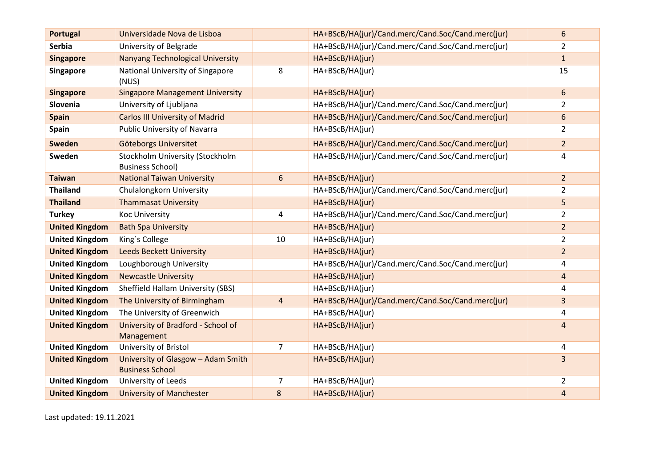| <b>Portugal</b>       | Universidade Nova de Lisboa                                  |                         | HA+BScB/HA(jur)/Cand.merc/Cand.Soc/Cand.merc(jur) | 6                       |
|-----------------------|--------------------------------------------------------------|-------------------------|---------------------------------------------------|-------------------------|
| <b>Serbia</b>         | University of Belgrade                                       |                         | HA+BScB/HA(jur)/Cand.merc/Cand.Soc/Cand.merc(jur) | $\overline{2}$          |
| <b>Singapore</b>      | <b>Nanyang Technological University</b>                      |                         | HA+BScB/HA(jur)                                   | $\mathbf{1}$            |
| <b>Singapore</b>      | National University of Singapore<br>(NUS)                    | 8                       | HA+BScB/HA(jur)                                   | 15                      |
| <b>Singapore</b>      | <b>Singapore Management University</b>                       |                         | HA+BScB/HA(jur)                                   | 6                       |
| Slovenia              | University of Ljubljana                                      |                         | HA+BScB/HA(jur)/Cand.merc/Cand.Soc/Cand.merc(jur) | 2                       |
| <b>Spain</b>          | <b>Carlos III University of Madrid</b>                       |                         | HA+BScB/HA(jur)/Cand.merc/Cand.Soc/Cand.merc(jur) | 6                       |
| <b>Spain</b>          | <b>Public University of Navarra</b>                          |                         | HA+BScB/HA(jur)                                   | $\overline{2}$          |
| <b>Sweden</b>         | Göteborgs Universitet                                        |                         | HA+BScB/HA(jur)/Cand.merc/Cand.Soc/Cand.merc(jur) | $\overline{2}$          |
| Sweden                | Stockholm University (Stockholm<br><b>Business School)</b>   |                         | HA+BScB/HA(jur)/Cand.merc/Cand.Soc/Cand.merc(jur) | 4                       |
| <b>Taiwan</b>         | <b>National Taiwan University</b>                            | 6                       | HA+BScB/HA(jur)                                   | $\overline{2}$          |
| <b>Thailand</b>       | Chulalongkorn University                                     |                         | HA+BScB/HA(jur)/Cand.merc/Cand.Soc/Cand.merc(jur) | $\overline{2}$          |
| <b>Thailand</b>       | <b>Thammasat University</b>                                  |                         | HA+BScB/HA(jur)                                   | 5                       |
| <b>Turkey</b>         | <b>Koc University</b>                                        | 4                       | HA+BScB/HA(jur)/Cand.merc/Cand.Soc/Cand.merc(jur) | $\overline{2}$          |
| <b>United Kingdom</b> | <b>Bath Spa University</b>                                   |                         | HA+BScB/HA(jur)                                   | $\overline{2}$          |
| <b>United Kingdom</b> | King's College                                               | 10                      | HA+BScB/HA(jur)                                   | $\overline{2}$          |
| <b>United Kingdom</b> | <b>Leeds Beckett University</b>                              |                         | HA+BScB/HA(jur)                                   | $\overline{2}$          |
| <b>United Kingdom</b> | Loughborough University                                      |                         | HA+BScB/HA(jur)/Cand.merc/Cand.Soc/Cand.merc(jur) | 4                       |
| <b>United Kingdom</b> | <b>Newcastle University</b>                                  |                         | HA+BScB/HA(jur)                                   | $\overline{\mathbf{4}}$ |
| <b>United Kingdom</b> | Sheffield Hallam University (SBS)                            |                         | HA+BScB/HA(jur)                                   | 4                       |
| <b>United Kingdom</b> | The University of Birmingham                                 | $\overline{\mathbf{4}}$ | HA+BScB/HA(jur)/Cand.merc/Cand.Soc/Cand.merc(jur) | 3                       |
| <b>United Kingdom</b> | The University of Greenwich                                  |                         | HA+BScB/HA(jur)                                   | 4                       |
| <b>United Kingdom</b> | University of Bradford - School of<br>Management             |                         | HA+BScB/HA(jur)                                   | 4                       |
| <b>United Kingdom</b> | University of Bristol                                        | $\overline{7}$          | HA+BScB/HA(jur)                                   | 4                       |
| <b>United Kingdom</b> | University of Glasgow - Adam Smith<br><b>Business School</b> |                         | HA+BScB/HA(jur)                                   | 3                       |
| <b>United Kingdom</b> | University of Leeds                                          | 7                       | HA+BScB/HA(jur)                                   | $\overline{2}$          |
| <b>United Kingdom</b> | <b>University of Manchester</b>                              | 8                       | HA+BScB/HA(jur)                                   | $\overline{4}$          |